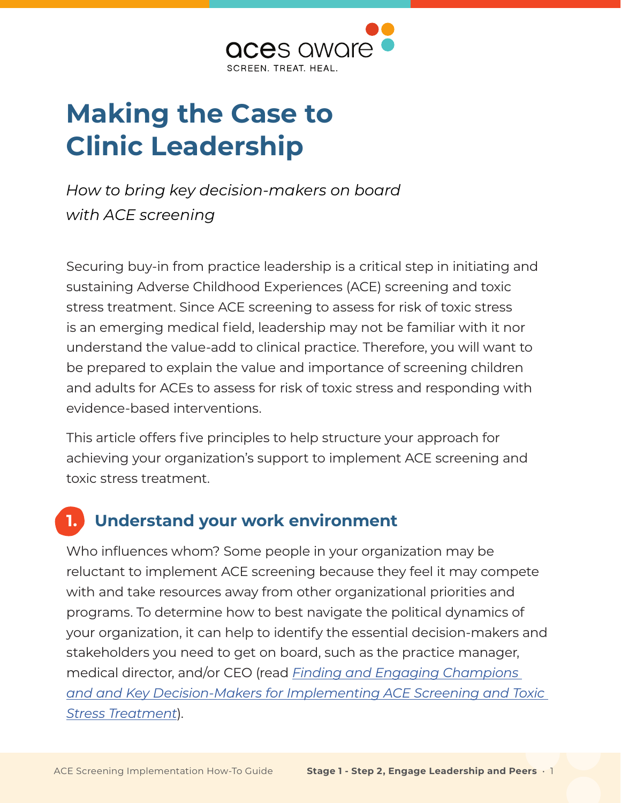

# **Making the Case to Clinic Leadership**

*How to bring key decision-makers on board with ACE screening*

Securing buy-in from practice leadership is a critical step in initiating and sustaining Adverse Childhood Experiences (ACE) screening and toxic stress treatment. Since ACE screening to assess for risk of toxic stress is an emerging medical field, leadership may not be familiar with it nor understand the value-add to clinical practice. Therefore, you will want to be prepared to explain the value and importance of screening children and adults for ACEs to assess for risk of toxic stress and responding with evidence-based interventions.

This article offers five principles to help structure your approach for achieving your organization's support to implement ACE screening and toxic stress treatment.

## **1. Understand your work environment**

Who influences whom? Some people in your organization may be reluctant to implement ACE screening because they feel it may compete with and take resources away from other organizational priorities and programs. To determine how to best navigate the political dynamics of your organization, it can help to identify the essential decision-makers and stakeholders you need to get on board, such as the practice manager, medical director, and/or CEO (read *[Finding and Engaging Champions](http://www.acesaware.org/wp-content/uploads/2021/05/Finding-and-Engaging-Champions-and-Key-Decision-Makers-for-Implementing-ACE-Screening-and-Toxic-Stress-Treatment.pdf)  [and and Key Decision-Makers for Implementing ACE Screening and Toxic](http://www.acesaware.org/wp-content/uploads/2021/05/Finding-and-Engaging-Champions-and-Key-Decision-Makers-for-Implementing-ACE-Screening-and-Toxic-Stress-Treatment.pdf)  [Stress Treatment](http://www.acesaware.org/wp-content/uploads/2021/05/Finding-and-Engaging-Champions-and-Key-Decision-Makers-for-Implementing-ACE-Screening-and-Toxic-Stress-Treatment.pdf)*).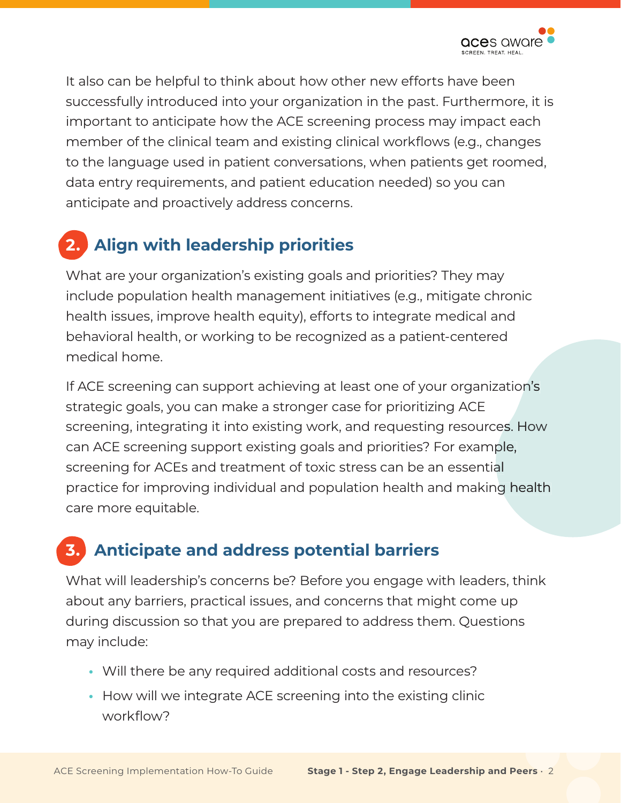It also can be helpful to think about how other new efforts have been successfully introduced into your organization in the past. Furthermore, it is important to anticipate how the ACE screening process may impact each member of the clinical team and existing clinical workflows (e.g., changes to the language used in patient conversations, when patients get roomed, data entry requirements, and patient education needed) so you can anticipate and proactively address concerns.

## **2. Align with leadership priorities**

What are your organization's existing goals and priorities? They may include population health management initiatives (e.g., mitigate chronic health issues, improve health equity), efforts to integrate medical and behavioral health, or working to be recognized as a patient-centered medical home.

If ACE screening can support achieving at least one of your organization's strategic goals, you can make a stronger case for prioritizing ACE screening, integrating it into existing work, and requesting resources. How can ACE screening support existing goals and priorities? For example, screening for ACEs and treatment of toxic stress can be an essential practice for improving individual and population health and making health care more equitable.

## **3. Anticipate and address potential barriers**

What will leadership's concerns be? Before you engage with leaders, think about any barriers, practical issues, and concerns that might come up during discussion so that you are prepared to address them. Questions may include:

- **•** Will there be any required additional costs and resources?
- **•** How will we integrate ACE screening into the existing clinic workflow?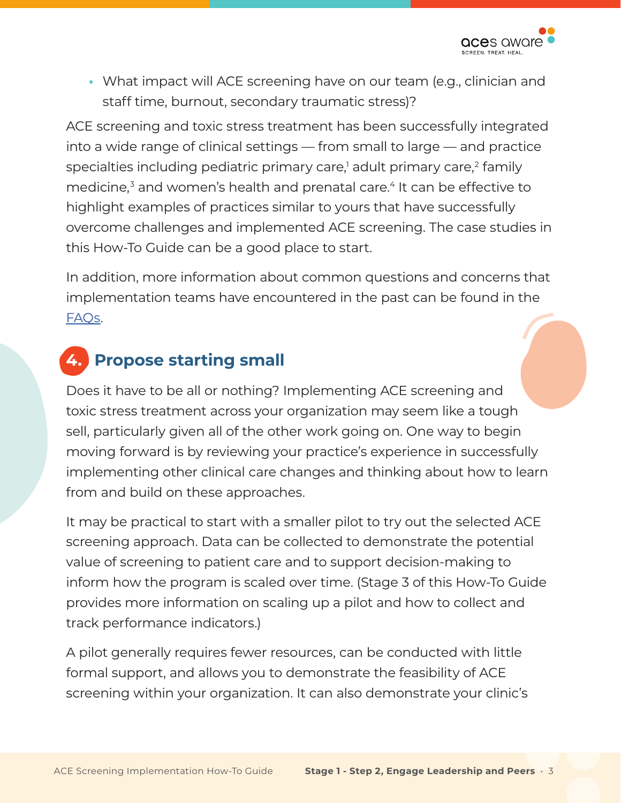

**•** What impact will ACE screening have on our team (e.g., clinician and staff time, burnout, secondary traumatic stress)?

ACE screening and toxic stress treatment has been successfully integrated into a wide range of clinical settings — from small to large — and practice specialties including pediatric primary care, $^1$  adult primary care, $^2$  $^2$  family medicine,<sup>[3](#page-4-0)</sup> and women's health and prenatal care.<sup>[4](#page-4-0)</sup> It can be effective to highlight examples of practices similar to yours that have successfully overcome challenges and implemented ACE screening. The case studies in this How-To Guide can be a good place to start.

In addition, more information about common questions and concerns that implementation teams have encountered in the past can be found in the [FAQs](http://www.acesaware.org/resources/faq/).

#### **4. Propose starting small**

Does it have to be all or nothing? Implementing ACE screening and toxic stress treatment across your organization may seem like a tough sell, particularly given all of the other work going on. One way to begin moving forward is by reviewing your practice's experience in successfully implementing other clinical care changes and thinking about how to learn from and build on these approaches.

It may be practical to start with a smaller pilot to try out the selected ACE screening approach. Data can be collected to demonstrate the potential value of screening to patient care and to support decision-making to inform how the program is scaled over time. (Stage 3 of this How-To Guide provides more information on scaling up a pilot and how to collect and track performance indicators.)

A pilot generally requires fewer resources, can be conducted with little formal support, and allows you to demonstrate the feasibility of ACE screening within your organization. It can also demonstrate your clinic's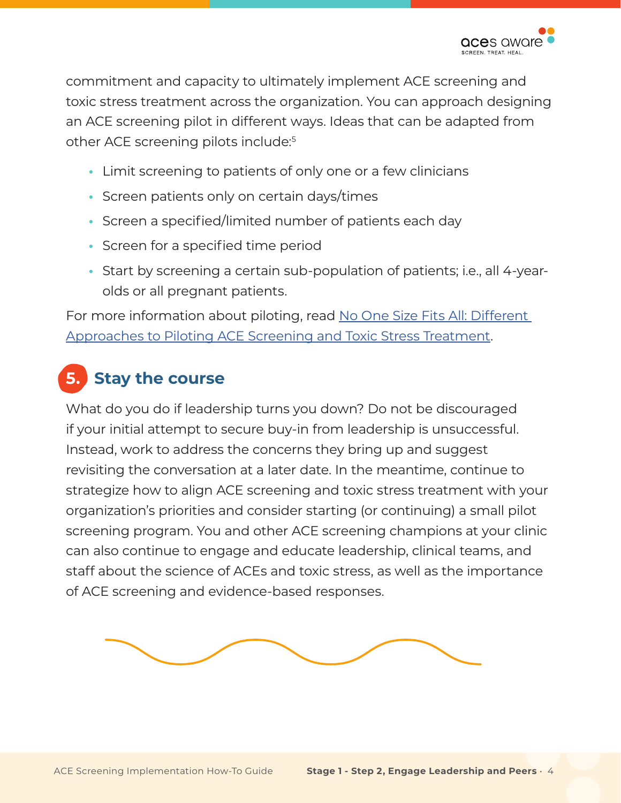

commitment and capacity to ultimately implement ACE screening and toxic stress treatment across the organization. You can approach designing an ACE screening pilot in different ways. Ideas that can be adapted from other ACE screening pilots include:<sup>5</sup>

- **•** Limit screening to patients of only one or a few clinicians
- **•** Screen patients only on certain days/times
- **•** Screen a specified/limited number of patients each day
- **•** Screen for a specified time period
- **•** Start by screening a certain sub-population of patients; i.e., all 4-yearolds or all pregnant patients.

For more information about piloting, read No One Size Fits All: Different [Approaches to Piloting ACE Screening and Toxic Stress Treatment.](http://www.acesaware.org/wp-content/uploads/2021/05/No-One-Size-Fits-All-Different-Approaches-to-Piloting-ACE-Screening-and-Toxic-Stress-Treatment.pdf)

## **5. Stay the course**

What do you do if leadership turns you down? Do not be discouraged if your initial attempt to secure buy-in from leadership is unsuccessful. Instead, work to address the concerns they bring up and suggest revisiting the conversation at a later date. In the meantime, continue to strategize how to align ACE screening and toxic stress treatment with your organization's priorities and consider starting (or continuing) a small pilot screening program. You and other ACE screening champions at your clinic can also continue to engage and educate leadership, clinical teams, and staff about the science of ACEs and toxic stress, as well as the importance of ACE screening and evidence-based responses.

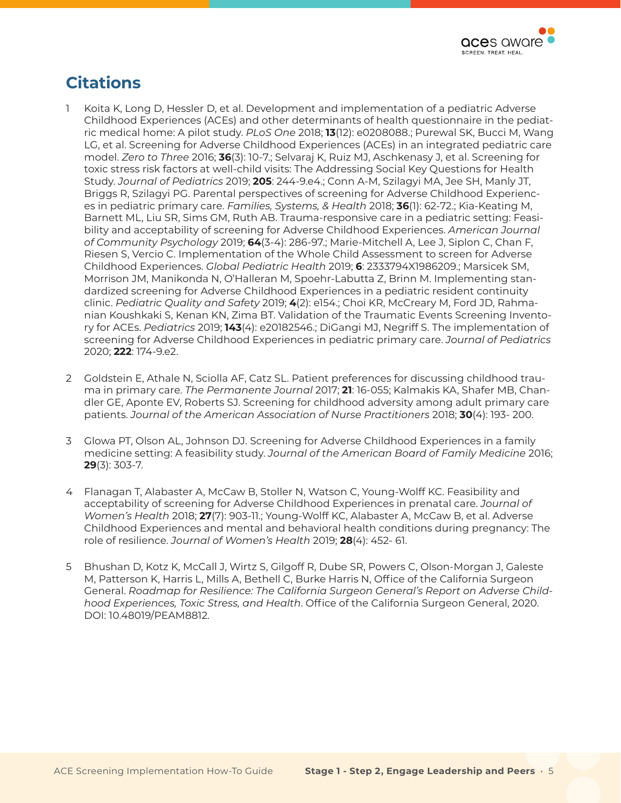

#### <span id="page-4-0"></span>**Citations**

- 1 Koita K, Long D, Hessler D, et al. Development and implementation of a pediatric Adverse Childhood Experiences (ACEs) and other determinants of health questionnaire in the pediatric medical home: A pilot study. *PLoS One* 2018; **13**(12): e0208088.; Purewal SK, Bucci M, Wang LG, et al. Screening for Adverse Childhood Experiences (ACEs) in an integrated pediatric care model. *Zero to Three* 2016; **36**(3): 10-7.; Selvaraj K, Ruiz MJ, Aschkenasy J, et al. Screening for toxic stress risk factors at well-child visits: The Addressing Social Key Questions for Health Study. *Journal of Pediatrics* 2019; **205**: 244-9.e4.; Conn A-M, Szilagyi MA, Jee SH, Manly JT, Briggs R, Szilagyi PG. Parental perspectives of screening for Adverse Childhood Experiences in pediatric primary care. *Families, Systems, & Health* 2018; **36**(1): 62-72.; Kia-Keating M, Barnett ML, Liu SR, Sims GM, Ruth AB. Trauma-responsive care in a pediatric setting: Feasibility and acceptability of screening for Adverse Childhood Experiences. *American Journal of Community Psychology* 2019; **64**(3-4): 286-97.; Marie-Mitchell A, Lee J, Siplon C, Chan F, Riesen S, Vercio C. Implementation of the Whole Child Assessment to screen for Adverse Childhood Experiences. *Global Pediatric Health* 2019; **6**: 2333794X1986209.; Marsicek SM, Morrison JM, Manikonda N, O'Halleran M, Spoehr-Labutta Z, Brinn M. Implementing standardized screening for Adverse Childhood Experiences in a pediatric resident continuity clinic. *Pediatric Quality and Safety* 2019; **4**(2): e154.; Choi KR, McCreary M, Ford JD, Rahmanian Koushkaki S, Kenan KN, Zima BT. Validation of the Traumatic Events Screening Inventory for ACEs. *Pediatrics* 2019; **143**(4): e20182546.; DiGangi MJ, Negriff S. The implementation of screening for Adverse Childhood Experiences in pediatric primary care. *Journal of Pediatrics*  2020; **222**: 174-9.e2.
- 2 Goldstein E, Athale N, Sciolla AF, Catz SL. Patient preferences for discussing childhood trauma in primary care. *The Permanente Journal* 2017; **21**: 16-055; Kalmakis KA, Shafer MB, Chandler GE, Aponte EV, Roberts SJ. Screening for childhood adversity among adult primary care patients. *Journal of the American Association of Nurse Practitioners* 2018; **30**(4): 193- 200.
- 3 Glowa PT, Olson AL, Johnson DJ. Screening for Adverse Childhood Experiences in a family medicine setting: A feasibility study. *Journal of the American Board of Family Medicine* 2016; **29**(3): 303-7.
- 4 Flanagan T, Alabaster A, McCaw B, Stoller N, Watson C, Young-Wolff KC. Feasibility and acceptability of screening for Adverse Childhood Experiences in prenatal care. *Journal of Women's Health* 2018; **27**(7): 903-11.; Young-Wolff KC, Alabaster A, McCaw B, et al. Adverse Childhood Experiences and mental and behavioral health conditions during pregnancy: The role of resilience. *Journal of Women's Health* 2019; **28**(4): 452- 61.
- 5 Bhushan D, Kotz K, McCall J, Wirtz S, Gilgoff R, Dube SR, Powers C, Olson-Morgan J, Galeste M, Patterson K, Harris L, Mills A, Bethell C, Burke Harris N, Office of the California Surgeon General. *Roadmap for Resilience: The California Surgeon General's Report on Adverse Childhood Experiences, Toxic Stress, and Health*. Office of the California Surgeon General, 2020. DOI: 10.48019/PEAM8812.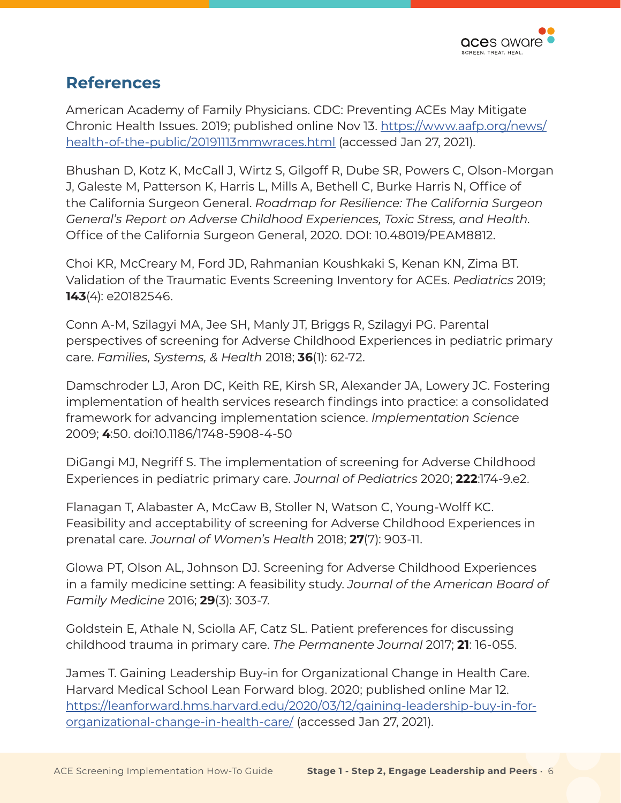

#### **References**

American Academy of Family Physicians. CDC: Preventing ACEs May Mitigate Chronic Health Issues. 2019; published online Nov 13. [https://www.aafp.org/news/](https://www.aafp.org/news/health-of-the-public/20191113mmwraces.html) [health-of-the-public/20191113mmwraces.html](https://www.aafp.org/news/health-of-the-public/20191113mmwraces.html) (accessed Jan 27, 2021).

Bhushan D, Kotz K, McCall J, Wirtz S, Gilgoff R, Dube SR, Powers C, Olson-Morgan J, Galeste M, Patterson K, Harris L, Mills A, Bethell C, Burke Harris N, Office of the California Surgeon General. *Roadmap for Resilience: The California Surgeon General's Report on Adverse Childhood Experiences, Toxic Stress, and Health*. Office of the California Surgeon General, 2020. DOI: 10.48019/PEAM8812.

Choi KR, McCreary M, Ford JD, Rahmanian Koushkaki S, Kenan KN, Zima BT. Validation of the Traumatic Events Screening Inventory for ACEs. *Pediatrics* 2019; **143**(4): e20182546.

Conn A-M, Szilagyi MA, Jee SH, Manly JT, Briggs R, Szilagyi PG. Parental perspectives of screening for Adverse Childhood Experiences in pediatric primary care. *Families, Systems, & Health* 2018; **36**(1): 62-72.

Damschroder LJ, Aron DC, Keith RE, Kirsh SR, Alexander JA, Lowery JC. Fostering implementation of health services research findings into practice: a consolidated framework for advancing implementation science. *Implementation Science* 2009; **4**:50. doi:10.1186/1748-5908-4-50

DiGangi MJ, Negriff S. The implementation of screening for Adverse Childhood Experiences in pediatric primary care. *Journal of Pediatrics* 2020; **222**:174-9.e2.

Flanagan T, Alabaster A, McCaw B, Stoller N, Watson C, Young-Wolff KC. Feasibility and acceptability of screening for Adverse Childhood Experiences in prenatal care. *Journal of Women's Health* 2018; **27**(7): 903-11.

Glowa PT, Olson AL, Johnson DJ. Screening for Adverse Childhood Experiences in a family medicine setting: A feasibility study. *Journal of the American Board of Family Medicine* 2016; **29**(3): 303-7.

Goldstein E, Athale N, Sciolla AF, Catz SL. Patient preferences for discussing childhood trauma in primary care. *The Permanente Journal* 2017; **21**: 16-055.

James T. Gaining Leadership Buy-in for Organizational Change in Health Care. Harvard Medical School Lean Forward blog. 2020; published online Mar 12. [https://leanforward.hms.harvard.edu/2020/03/12/gaining-leadership-buy-in-for](https://leanforward.hms.harvard.edu/2020/03/12/gaining-leadership-buy-in-for-organizational-change-in-health-care/)[organizational-change-in-health-care/](https://leanforward.hms.harvard.edu/2020/03/12/gaining-leadership-buy-in-for-organizational-change-in-health-care/) (accessed Jan 27, 2021).